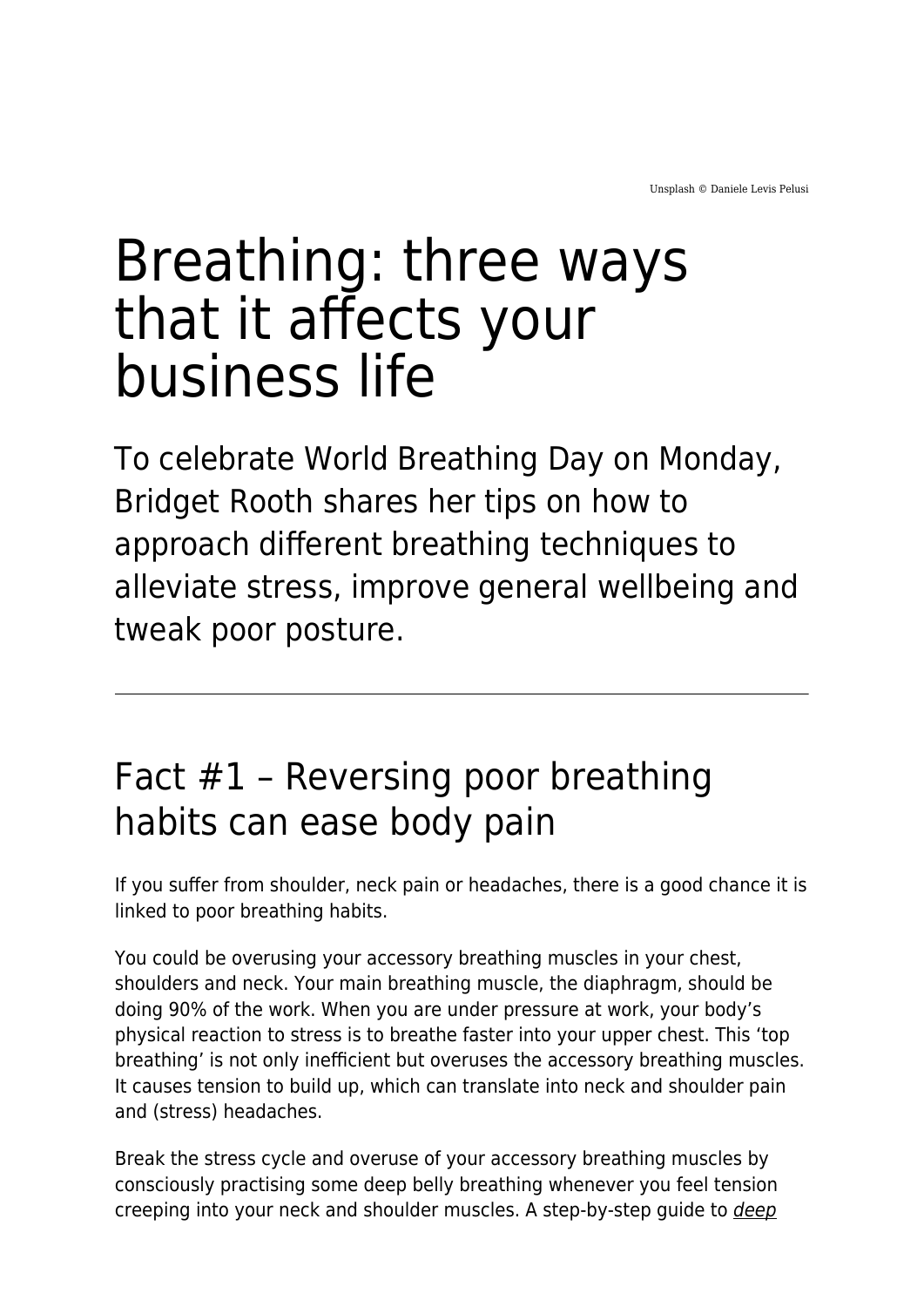## Breathing: three ways that it affects your business life

To celebrate World Breathing Day on Monday, Bridget Rooth shares her tips on how to approach different breathing techniques to alleviate stress, improve general wellbeing and tweak poor posture.

## Fact #1 – Reversing poor breathing habits can ease body pain

If you suffer from shoulder, neck pain or headaches, there is a good chance it is linked to poor breathing habits.

You could be overusing your accessory breathing muscles in your chest, shoulders and neck. Your main breathing muscle, the diaphragm, should be doing 90% of the work. When you are under pressure at work, your body's physical reaction to stress is to breathe faster into your upper chest. This 'top breathing' is not only inefficient but overuses the accessory breathing muscles. It causes tension to build up, which can translate into neck and shoulder pain and (stress) headaches.

Break the stress cycle and overuse of your accessory breathing muscles by consciously practising some deep belly breathing whenever you feel tension creeping into your neck and shoulder muscles. A step-by-step guide to *[deep](https://www.maddyness.com/uk/2020/04/24/oxygenating-your-business-brain/)*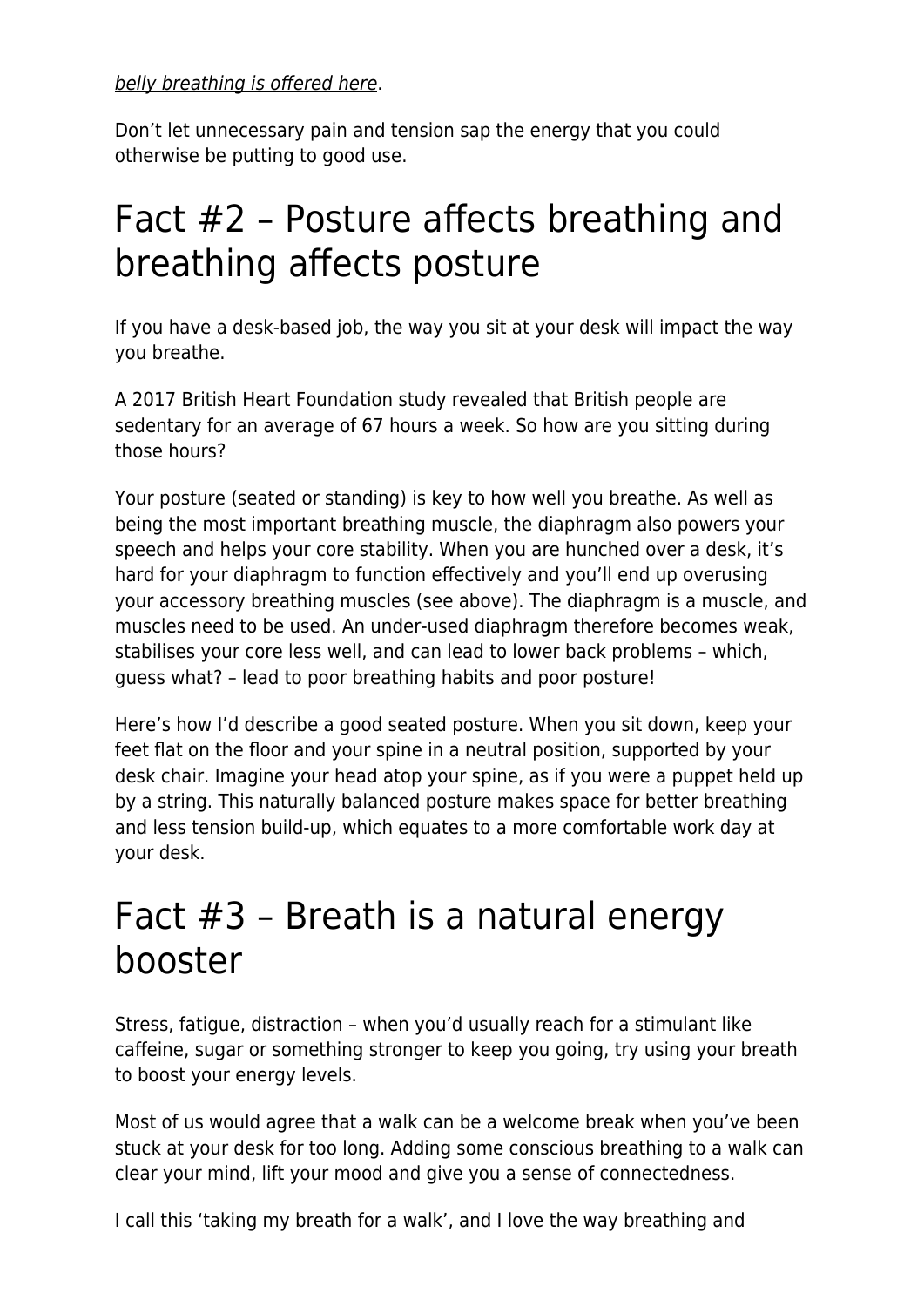[belly breathing is offered here](https://www.maddyness.com/uk/2020/04/24/oxygenating-your-business-brain/).

Don't let unnecessary pain and tension sap the energy that you could otherwise be putting to good use.

## Fact #2 – Posture affects breathing and breathing affects posture

If you have a desk-based job, the way you sit at your desk will impact the way you breathe.

A 2017 British Heart Foundation study revealed that British people are sedentary for an average of 67 hours a week. So how are you sitting during those hours?

Your posture (seated or standing) is key to how well you breathe. As well as being the most important breathing muscle, the diaphragm also powers your speech and helps your core stability. When you are hunched over a desk, it's hard for your diaphragm to function effectively and you'll end up overusing your accessory breathing muscles (see above). The diaphragm is a muscle, and muscles need to be used. An under-used diaphragm therefore becomes weak, stabilises your core less well, and can lead to lower back problems – which, guess what? – lead to poor breathing habits and poor posture!

Here's how I'd describe a good seated posture. When you sit down, keep your feet flat on the floor and your spine in a neutral position, supported by your desk chair. Imagine your head atop your spine, as if you were a puppet held up by a string. This naturally balanced posture makes space for better breathing and less tension build-up, which equates to a more comfortable work day at your desk.

## Fact #3 – Breath is a natural energy booster

Stress, fatigue, distraction – when you'd usually reach for a stimulant like caffeine, sugar or something stronger to keep you going, try using your breath to boost your energy levels.

Most of us would agree that a walk can be a welcome break when you've been stuck at your desk for too long. Adding some conscious breathing to a walk can clear your mind, lift your mood and give you a sense of connectedness.

I call this 'taking my breath for a walk', and I love the way breathing and